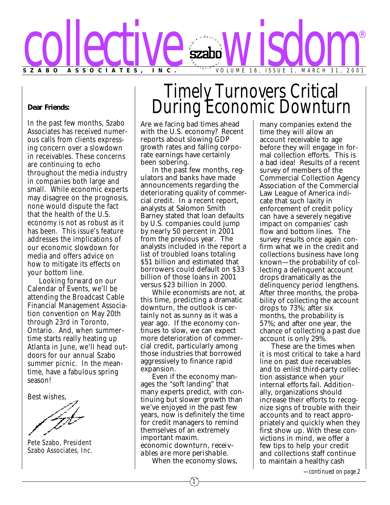

#### **Dear Friends:**

In the past few months, Szabo Associates has received numerous calls from clients expressing concern over a slowdown in receivables. These concerns are continuing to echo throughout the media industry in companies both large and small. While economic experts may disagree on the prognosis, none would dispute the fact that the health of the U.S. economy is not as robust as it has been. This issue's feature addresses the implications of our economic slowdown for media and offers advice on how to mitigate its effects on your bottom line.

Looking forward on our Calendar of Events, we'll be attending the Broadcast Cable Financial Management Association convention on May 20th through 23rd in Toronto, Ontario. And, when summertime starts really heating up Atlanta in June, we'll head outdoors for our annual Szabo summer picnic. In the meantime, have a fabulous spring season!

#### Best wishes,

Pete Szabo, President Szabo Associates, Inc.

## Timely Turnovers Critical During Economic Downturn

Are we facing bad times ahead with the U.S. economy? Recent reports about slowing GDP growth rates and falling corporate earnings have certainly been sobering.

In the past few months, regulators and banks have made announcements regarding the deteriorating quality of commercial credit. In a recent report, analysts at Salomon Smith Barney stated that loan defaults by U.S. companies could jump by nearly 50 percent in 2001 from the previous year. The analysts included in the report a list of troubled loans totaling \$51 billion and estimated that borrowers could default on \$33 billion of those loans in 2001 versus \$23 billion in 2000.

While economists are not, at this time, predicting a dramatic downturn, the outlook is certainly not as sunny as it was a year ago. If the economy continues to slow, we can expect more deterioration of commercial credit, particularly among those industries that borrowed aggressively to finance rapid expansion.

Even if the economy manages the "soft landing" that many experts predict, with continuing but slower growth than we've enjoyed in the past few years, now is definitely the time for credit managers to remind themselves of an extremely important maxim. *economic downturn, receivables are more perishable.* When the economy slows,

many companies extend the time they will allow an account receivable to age before they will engage in formal collection efforts. This is a bad idea! Results of a recent survey of members of the Commercial Collection Agency Association of the Commercial Law League of America indicate that such laxity in enforcement of credit policy can have a severely negative impact on companies' cash flow and bottom lines. The survey results once again confirm what we in the credit and collections business have long known—the probability of collecting a delinquent account drops dramatically as the delinquency period lengthens. After three months, the probability of collecting the account drops to 73%; after six months, the probability is 57%; and after one year, the chance of collecting a past due account is only 29%.

These are the times when it is most critical to take a hard line on past due receivables and to enlist third-party collection assistance when your internal efforts fail. Additionally, organizations should increase their efforts to recognize signs of trouble with their accounts and to react appropriately and quickly when they first show up. With these convictions in mind, we offer a few tips to help your credit and collections staff continue to maintain a healthy cash

*—continued on page 2*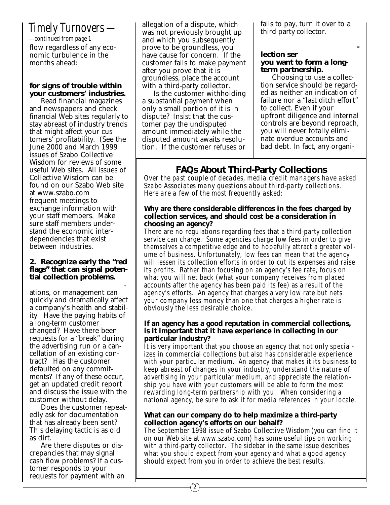### *Timely Turnovers —*

flow regardless of any economic turbulence in the months ahead: *—continued from page 1*

#### **for signs of trouble within your customers' industries.**

Read financial magazines and newspapers and check financial Web sites regularly to stay abreast of industry trends that might affect your customers' profitability. (See the June 2000 and March 1999 issues of Szabo *Collective Wisdom* for reviews of some useful Web sites. All issues of *Collective Wisdom* can be found on our Szabo Web site at www.szabo.com frequent meetings to exchange information with your staff members. Make sure staff members understand the economic interdependencies that exist between industries.

#### **2. Recognize early the "red flags" that can signal potential collection problems.**

 ations, or management can quickly and dramatically affect a company's health and stability. Have the paying habits of a long-term customer changed? Have there been requests for a "break" during the advertising run or a cancellation of an existing contract? Has the customer defaulted on any commitments? If any of these occur, get an updated credit report and discuss the issue with the customer without delay.

Does the customer repeatedly ask for documentation that has already been sent? This delaying tactic is as old as dirt.

Are there disputes or discrepancies that may signal cash flow problems? If a customer responds to your requests for payment with an allegation of a dispute, which was not previously brought up and which you subsequently prove to be groundless, you have cause for concern. If the customer fails to make payment after you prove that it is groundless, place the account with a third-party collector.

Is the customer withholding a substantial payment when only a small portion of it is in dispute? Insist that the customer pay the undisputed amount immediately while the disputed amount awaits resolution. If the customer refuses or

fails to pay, turn it over to a third-party collector.

#### **lection ser you want to form a longterm partnership.**

**-**

Choosing to use a collection service should be regarded as neither an indication of failure nor a "last ditch effort" to collect. Even if your upfront diligence and internal controls are beyond reproach, you will never totally eliminate overdue accounts and bad debt. In fact, any organi-

### **FAQs About Third-Party Collections**

*Over the past couple of decades, media credit managers have asked Szabo Associates many questions about third-party collections. Here are a few of the most frequently asked:*

#### **Why are there considerable differences in the fees charged by collection services, and should cost be a consideration in choosing an agency?**

There are no regulations regarding fees that a third-party collection service can charge. Some agencies charge low fees in order to give themselves a competitive edge and to hopefully attract a greater vol ume of business. Unfortunately, low fees can mean that the agency will lessen its collection efforts in order to cut its expenses and raise its profits. Rather than focusing on an agency's fee rate, focus on what you will <u>net back</u> (what your company receives from placed accounts after the agency has been paid its fee) as a result of the agency's efforts. An agency that charges a very low rate but nets your company less money than one that charges a higher rate is obviously the less desirable choice.

#### **If an agency has a good reputation in commercial collections, is it important that it have experience in collecting in our particular industry?**

It is very important that you choose an agency that not only specializes in commercial collections but also has considerable experience with your particular medium. An agency that makes it its business to keep abreast of changes in your industry, understand the nature of advertising in your particular medium, and appreciate the relation ship you have with your customers will be able to form the most rewarding long-term partnership with you. When considering a national agency, be sure to ask it for media references in your locale.

#### **What can our company do to help maximize a third-party collection agency's efforts on our behalf?**

2

The September 1998 issue of Szabo *Collective Wisdom* (you can find it on our Web site at www.szabo.com) has some useful tips on working with a third-party collector. The sidebar in the same issue describes what you should expect from your agency and what a good agency should expect from you in order to achieve the best results.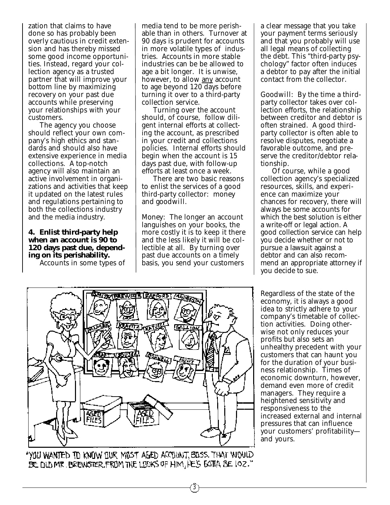zation that claims to have done so has probably been overly cautious in credit extension and has thereby missed some good income opportunities. Instead, regard your collection agency as a trusted partner that will improve your bottom line by maximizing recovery on your past due accounts while preserving your relationships with your customers.

The agency you choose should reflect your own company's high ethics and standards and should also have extensive experience in media collections. A top-notch agency will also maintain an active involvement in organizations and activities that keep it updated on the latest rules and regulations pertaining to both the collections industry and the media industry.

**4. Enlist third-party help when an account is 90 to 120 days past due, depending on its perishability.** Accounts in some types of media tend to be more perishable than in others. Turnover at 90 days is prudent for accounts in more volatile types of industries. Accounts in more stable industries can be be allowed to age a bit longer. It is unwise, however, to allow <u>any</u> account to age beyond 120 days before turning it over to a third-party collection service.

Turning over the account should, of course, follow diligent internal efforts at collecting the account, as prescribed in your credit and collections policies. Internal efforts should begin when the account is 15 days past due, with follow-up efforts at least once a week.

There are two basic reasons to enlist the services of a good third-party collector: *money* and *goodwill*.

*Money:* The longer an account languishes on your books, the more costly it is to keep it there and the less likely it will be collectible at all. By turning over past due accounts on a timely basis, you send your customers

3

a clear message that you take your payment terms seriously and that you probably will use all legal means of collecting the debt. This "third-party psychology" factor often induces a debtor to pay after the initial contact from the collector.

*Goodwill:* By the time a thirdparty collector takes over collection efforts, the relationship between creditor and debtor is often strained. A good thirdparty collector is often able to resolve disputes, negotiate a favorable outcome, and preserve the creditor/debtor relationship.

Of course, while a good collection agency's specialized resources, skills, and experience can maximize your chances for recovery, there will always be some accounts for which the best solution is either a write-off or legal action. A good collection service can help you decide whether or not to pursue a lawsuit against a debtor and can also recommend an appropriate attorney if you decide to sue.

Regardless of the state of the economy, it is always a good idea to strictly adhere to your company's timetable of collection activities. Doing otherwise not only reduces your profits but also sets an unhealthy precedent with your customers that can haunt you for the duration of your business relationship. Times of economic downturn, however, demand even more of credit managers. They require a heightened sensitivity and responsiveness to the increased external and internal pressures that can influence your customers' profitability and yours.



"YOU WANTED TO KNOW OUR MOST AGED ACCOUNT, BOSS. THAT WOULD BE DUDIMIR IBREWISTER, FROM THE LOUKS OF HIM, HE'S BOTTA BE 102."